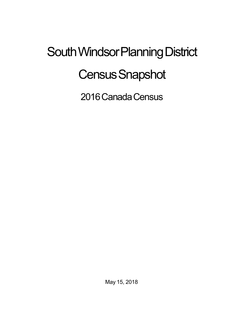## South Windsor Planning District **Census Snapshot**

2016 Canada Census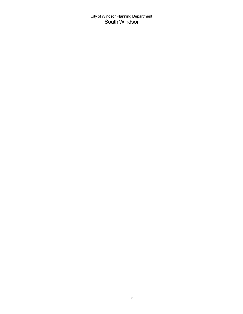City of Windsor Planning Department South Windsor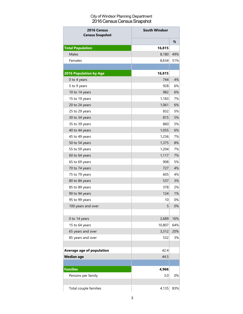## City of Windsor Planning Department 2016 Census Census Snapshot

| 2016 Census<br><b>Census Snapshot</b> | <b>South Windsor</b> |     |
|---------------------------------------|----------------------|-----|
|                                       |                      | %   |
| <b>Total Population</b>               | 16,815               |     |
| Males                                 | 8,180                | 49% |
| Females                               | 8,634                | 51% |
|                                       |                      |     |
| <b>2016 Population by Age</b>         | 16,815               |     |
| 0 to 4 years                          | 744                  | 4%  |
| 5 to 9 years                          | 928                  | 6%  |
| 10 to 14 years                        | 982                  | 6%  |
| 15 to 19 years                        | 1,183                | 7%  |
| 20 to 24 years                        | 1,061                | 6%  |
| 25 to 29 years                        | 832                  | 5%  |
| 30 to 34 years                        | 815                  | 5%  |
| 35 to 39 years                        | 860                  | 5%  |
| 40 to 44 years                        | 1,055                | 6%  |
| 45 to 49 years                        | 1,236                | 7%  |
| 50 to 54 years                        | 1,375                | 8%  |
| 55 to 59 years                        | 1,204                | 7%  |
| 60 to 64 years                        | 1,117                | 7%  |
| 65 to 69 years                        | 908                  | 5%  |
| 70 to 74 years                        | 727                  | 4%  |
| 75 to 79 years                        | 605                  | 4%  |
| 80 to 84 years                        | 537                  | 3%  |
| 85 to 89 years                        | 378                  | 2%  |
| 90 to 94 years                        | 124                  | 1%  |
| 95 to 99 years                        | 10                   | 0%  |
| 100 years and over                    | 5                    | 0%  |
| 0 to 14 years                         | 2,689                | 16% |
| 15 to 64 years                        | 10,807               | 64% |
| 65 years and over                     | 3,312                | 20% |
| 85 years and over                     | 532                  | 3%  |
|                                       |                      |     |
| <b>Average age of population</b>      | 42.4                 |     |
| <b>Median age</b>                     | 44.5                 |     |
|                                       |                      |     |
| <b>Families</b>                       | 4,966                |     |
| Persons per family                    | 3.0                  | 0%  |
| Total couple families                 | 4,135                | 83% |